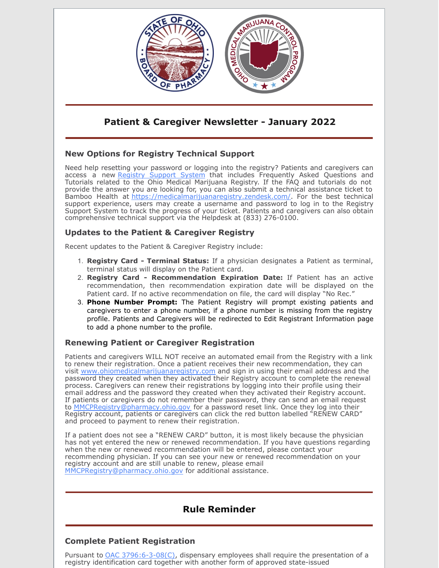

## **Patient & Caregiver Newsletter - January 2022**

### **New Options for Registry Technical Support**

Need help resetting your password or logging into the registry? Patients and caregivers can access a new [Registry Support System](https://medicalmarijuanaregistry.zendesk.com/) that includes Frequently Asked Questions and Tutorials related to the Ohio Medical Marijuana Registry. If the FAQ and tutorials do not provide the answer you are looking for, you can also submit a technical assistance ticket to Bamboo Health at<https://medicalmarijuanaregistry.zendesk.com/>. For the best technical support experience, users may create a username and password to log in to the Registry Support System to track the progress of your ticket. Patients and caregivers can also obtain comprehensive technical support via the Helpdesk at (833) 276-0100.

### **Updates to the Patient & Caregiver Registry**

Recent updates to the Patient & Caregiver Registry include:

- 1. **Registry Card Terminal Status:** If a physician designates a Patient as terminal, terminal status will display on the Patient card.
- 2. **Registry Card Recommendation Expiration Date:** If Patient has an active recommendation, then recommendation expiration date will be displayed on the Patient card. If no active recommendation on file, the card will display "No Rec."
- 3. **Phone Number Prompt:** The Patient Registry will prompt existing patients and caregivers to enter a phone number, if a phone number is missing from the registry profile. Patients and Caregivers will be redirected to Edit Registrant Information page to add a phone number to the profile.

#### **Renewing Patient or Caregiver Registration**

Patients and caregivers WILL NOT receive an automated email from the Registry with a link to renew their registration. Once a patient receives their new recommendation, they can visit [www.ohiomedicalmarijuanaregistry.com](http://www.ohiomedicalmarijuanaregistry.com) and sign in using their email address and the password they created when they activated their Registry account to complete the renewal process. Caregivers can renew their registrations by logging into their profile using their email address and the password they created when they activated their Registry account. If patients or caregivers do not remember their password, they can send an email request to MM[CPRegistry@pharmacy.ohio.gov](mailto:MMCPRegistry@pharmacy.ohio.gov) for a password reset link. Once they log into their Registry account, patients or caregivers can click the red button labelled "RENEW CARD" and proceed to payment to renew their registration.

If a patient does not see a "RENEW CARD" button, it is most likely because the physician has not yet entered the new or renewed recommendation. If you have questions regarding when the new or renewed recommendation will be entered, please contact your recommending physician. If you can see your new or renewed recommendation on your registry account and are still unable to renew, please email [MMCPRegistry@pharmacy.ohio.gov](mailto:MMCPRegistry@pharmacy.ohio.gov) for additional assistance.

# **Rule Reminder**

#### **Complete Patient Registration**

Pursuant to [OAC 3796:6-3-08\(C\)](https://codes.ohio.gov/ohio-administrative-code/rule-3796:6-3-08), dispensary employees shall require the presentation of a registry identification card together with another form of approved state-issued